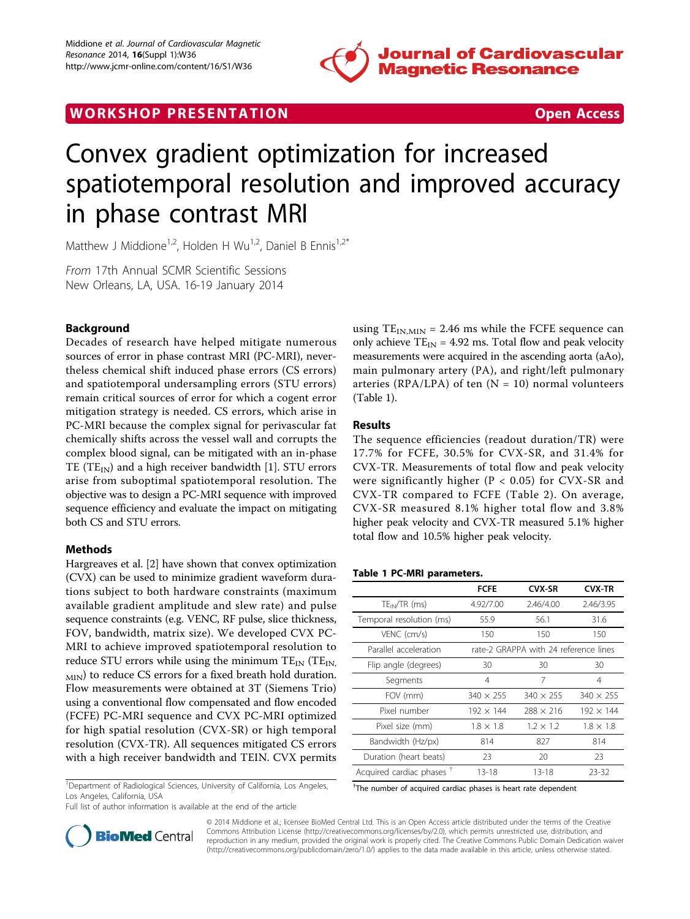

# WORK SHOP PRESENTATION AND RESENSIVE STATES Open Access



# Convex gradient optimization for increased spatiotemporal resolution and improved accuracy in phase contrast MRI

Matthew J Middione<sup>1,2</sup>, Holden H Wu<sup>1,2</sup>, Daniel B Ennis<sup>1,2\*</sup>

From 17th Annual SCMR Scientific Sessions New Orleans, LA, USA. 16-19 January 2014

# Background

Decades of research have helped mitigate numerous sources of error in phase contrast MRI (PC-MRI), nevertheless chemical shift induced phase errors (CS errors) and spatiotemporal undersampling errors (STU errors) remain critical sources of error for which a cogent error mitigation strategy is needed. CS errors, which arise in PC-MRI because the complex signal for perivascular fat chemically shifts across the vessel wall and corrupts the complex blood signal, can be mitigated with an in-phase TE (TE<sub>IN</sub>) and a high receiver bandwidth [\[1](#page-1-0)]. STU errors arise from suboptimal spatiotemporal resolution. The objective was to design a PC-MRI sequence with improved sequence efficiency and evaluate the impact on mitigating both CS and STU errors.

## Methods

Hargreaves et al. [\[2](#page-1-0)] have shown that convex optimization (CVX) can be used to minimize gradient waveform durations subject to both hardware constraints (maximum available gradient amplitude and slew rate) and pulse sequence constraints (e.g. VENC, RF pulse, slice thickness, FOV, bandwidth, matrix size). We developed CVX PC-MRI to achieve improved spatiotemporal resolution to reduce STU errors while using the minimum  $TE_{IN}$  (T $E_{IN}$ ,  $_{\text{MIN}}$ ) to reduce CS errors for a fixed breath hold duration. Flow measurements were obtained at 3T (Siemens Trio) using a conventional flow compensated and flow encoded (FCFE) PC-MRI sequence and CVX PC-MRI optimized for high spatial resolution (CVX-SR) or high temporal resolution (CVX-TR). All sequences mitigated CS errors with a high receiver bandwidth and TEIN. CVX permits

<sup>1</sup>Department of Radiological Sciences, University of California, Los Angeles, Los Angeles, California, USA

Full list of author information is available at the end of the article



#### Results

The sequence efficiencies (readout duration/TR) were 17.7% for FCFE, 30.5% for CVX-SR, and 31.4% for CVX-TR. Measurements of total flow and peak velocity were significantly higher ( $P < 0.05$ ) for CVX-SR and CVX-TR compared to FCFE (Table [2\)](#page-1-0). On average, CVX-SR measured 8.1% higher total flow and 3.8% higher peak velocity and CVX-TR measured 5.1% higher total flow and 10.5% higher peak velocity.

#### Table 1 PC-MRI parameters.

|                                      | <b>FCFE</b>                           | <b>CVX-SR</b>    | <b>CVX-TR</b>    |
|--------------------------------------|---------------------------------------|------------------|------------------|
| $TE_{IN}/TR$ (ms)                    | 4.92/7.00                             | 2.46/4.00        | 2.46/3.95        |
| Temporal resolution (ms)             | 55.9                                  | 56.1             | 31.6             |
| VENC (cm/s)                          | 150                                   | 150              | 150              |
| Parallel acceleration                | rate-2 GRAPPA with 24 reference lines |                  |                  |
| Flip angle (degrees)                 | 30                                    | 30               | 30               |
| Segments                             | 4                                     | 7                | 4                |
| FOV (mm)                             | $340 \times 255$                      | $340 \times 255$ | $340 \times 255$ |
| Pixel number                         | $192 \times 144$                      | $288 \times 216$ | $192 \times 144$ |
| Pixel size (mm)                      | $1.8 \times 1.8$                      | $1.2 \times 1.2$ | $1.8 \times 1.8$ |
| Bandwidth (Hz/px)                    | 814                                   | 827              | 814              |
| Duration (heart beats)               | 23                                    | 20               | 23               |
| Acquired cardiac phases <sup>+</sup> | $13 - 18$                             | $13 - 18$        | 23-32            |

† The number of acquired cardiac phases is heart rate dependent



© 2014 Middione et al.; licensee BioMed Central Ltd. This is an Open Access article distributed under the terms of the Creative Commons Attribution License [\(http://creativecommons.org/licenses/by/2.0](http://creativecommons.org/licenses/by/2.0)), which permits unrestricted use, distribution, and reproduction in any medium, provided the original work is properly cited. The Creative Commons Public Domain Dedication waiver [\(http://creativecommons.org/publicdomain/zero/1.0/](http://creativecommons.org/publicdomain/zero/1.0/)) applies to the data made available in this article, unless otherwise stated.